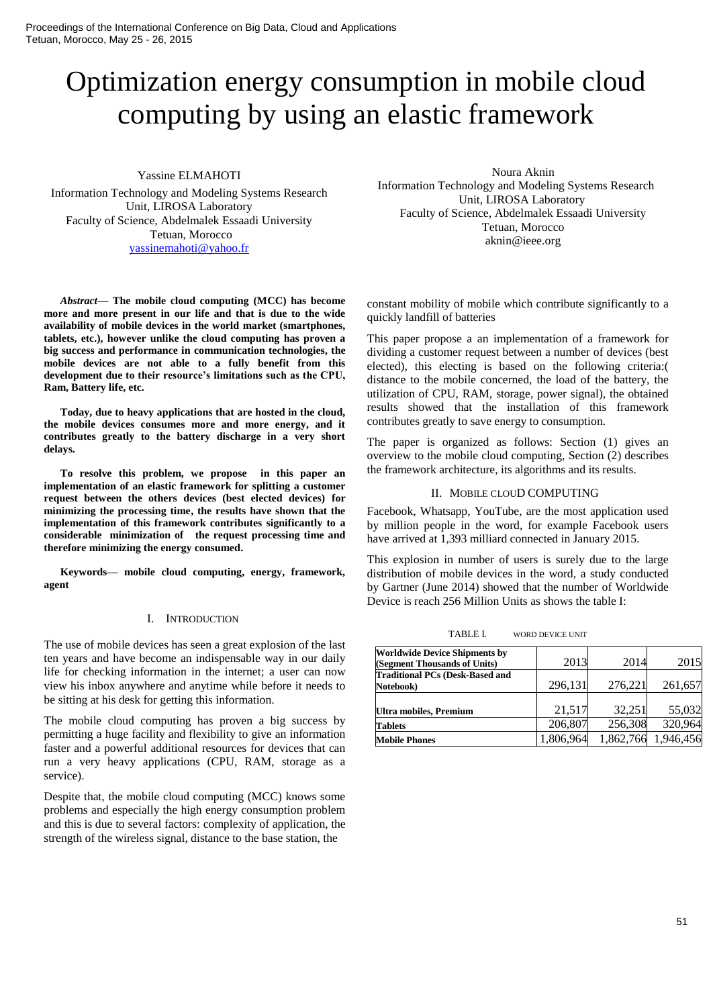# Optimization energy consumption in mobile cloud computing by using an elastic framework

Yassine ELMAHOTI

Information Technology and Modeling Systems Research Unit, LIROSA Laboratory Faculty of Science, Abdelmalek Essaadi University Tetuan, Morocco [yassinemahoti@yahoo.fr](mailto:yassinemahoti@yahoo.fr)

*Abstract***— The mobile cloud computing (MCC) has become more and more present in our life and that is due to the wide availability of mobile devices in the world market (smartphones, tablets, etc.), however unlike the cloud computing has proven a big success and performance in communication technologies, the mobile devices are not able to a fully benefit from this development due to their resource's limitations such as the CPU, Ram, Battery life, etc.** 

**Today, due to heavy applications that are hosted in the cloud, the mobile devices consumes more and more energy, and it contributes greatly to the battery discharge in a very short delays.**

**To resolve this problem, we propose in this paper an implementation of an elastic framework for splitting a customer request between the others devices (best elected devices) for minimizing the processing time, the results have shown that the implementation of this framework contributes significantly to a considerable minimization of the request processing time and therefore minimizing the energy consumed.**

**Keywords— mobile cloud computing, energy, framework, agent** 

## I. INTRODUCTION

The use of mobile devices has seen a great explosion of the last ten years and have become an indispensable way in our daily life for checking information in the internet; a user can now view his inbox anywhere and anytime while before it needs to be sitting at his desk for getting this information.

The mobile cloud computing has proven a big success by permitting a huge facility and flexibility to give an information faster and a powerful additional resources for devices that can run a very heavy applications (CPU, RAM, storage as a service).

Despite that, the mobile cloud computing (MCC) knows some problems and especially the high energy consumption problem and this is due to several factors: complexity of application, the strength of the wireless signal, distance to the base station, the

Noura Aknin Information Technology and Modeling Systems Research Unit, LIROSA Laboratory Faculty of Science, Abdelmalek Essaadi University Tetuan, Morocco aknin@ieee.org

constant mobility of mobile which contribute significantly to a quickly landfill of batteries

This paper propose a an implementation of a framework for dividing a customer request between a number of devices (best elected), this electing is based on the following criteria:( distance to the mobile concerned, the load of the battery, the utilization of CPU, RAM, storage, power signal), the obtained results showed that the installation of this framework contributes greatly to save energy to consumption.

The paper is organized as follows: Section (1) gives an overview to the mobile cloud computing, Section (2) describes the framework architecture, its algorithms and its results.

## II. MOBILE CLOUD COMPUTING

Facebook, Whatsapp, YouTube, are the most application used by million people in the word, for example Facebook users have arrived at 1,393 milliard connected in January 2015.

This explosion in number of users is surely due to the large distribution of mobile devices in the word, a study conducted by Gartner (June 2014) showed that the number of Worldwide Device is reach 256 Million Units as shows the table I:

| TABLE L<br><b>WORD DEVICE UNIT</b> |
|------------------------------------|
|------------------------------------|

| <b>Worldwide Device Shipments by</b><br>(Segment Thousands of Units) | 2013      | 2014      | 2015      |
|----------------------------------------------------------------------|-----------|-----------|-----------|
| <b>Traditional PCs (Desk-Based and</b><br>Notebook)                  | 296,131   | 276,221   | 261,657   |
| Ultra mobiles, Premium                                               | 21,517    | 32,251    | 55,032    |
| <b>Tablets</b>                                                       | 206,807   | 256,308   | 320,964   |
| <b>Mobile Phones</b>                                                 | 1,806,964 | 1,862,766 | 1,946,456 |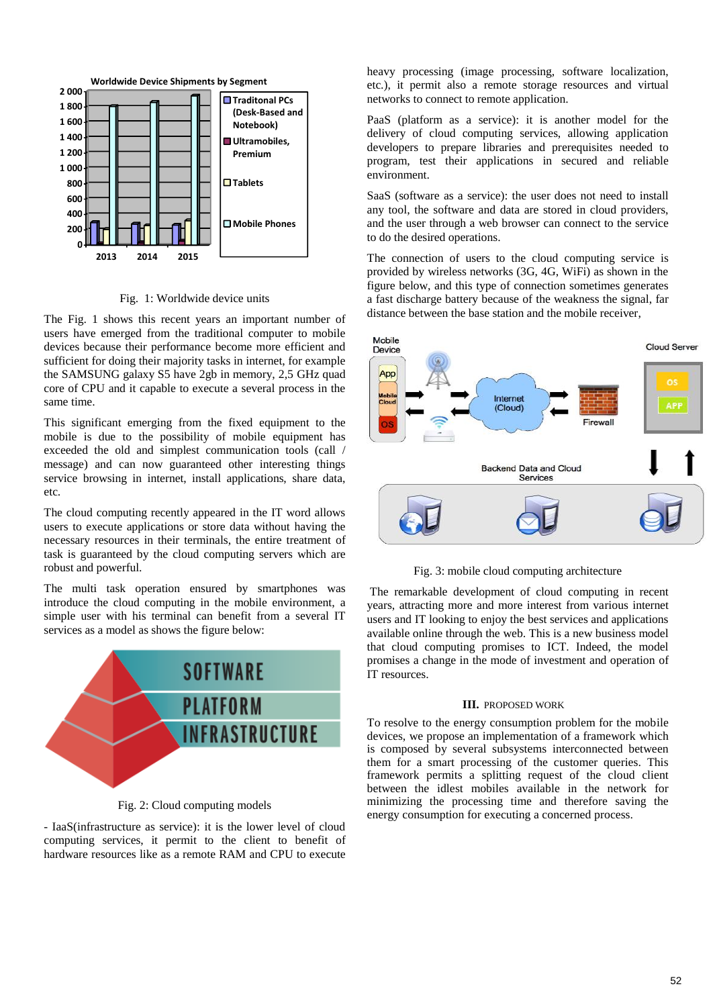

Fig. 1: Worldwide device units

The Fig. 1 shows this recent years an important number of users have emerged from the traditional computer to mobile devices because their performance become more efficient and sufficient for doing their majority tasks in internet, for example the SAMSUNG galaxy S5 have 2gb in memory, 2,5 GHz quad core of CPU and it capable to execute a several process in the same time.

This significant emerging from the fixed equipment to the mobile is due to the possibility of mobile equipment has exceeded the old and simplest communication tools (call / message) and can now guaranteed other interesting things service browsing in internet, install applications, share data, etc.

The cloud computing recently appeared in the IT word allows users to execute applications or store data without having the necessary resources in their terminals, the entire treatment of task is guaranteed by the cloud computing servers which are robust and powerful.

The multi task operation ensured by smartphones was introduce the cloud computing in the mobile environment, a simple user with his terminal can benefit from a several IT services as a model as shows the figure below:



Fig. 2: Cloud computing models

- IaaS(infrastructure as service): it is the lower level of cloud computing services, it permit to the client to benefit of hardware resources like as a remote RAM and CPU to execute heavy processing (image processing, software localization, etc.), it permit also a remote storage resources and virtual networks to connect to remote application.

PaaS (platform as a service): it is another model for the delivery of cloud computing services, allowing application developers to prepare libraries and prerequisites needed to program, test their applications in secured and reliable environment.

SaaS (software as a service): the user does not need to install any tool, the software and data are stored in cloud providers, and the user through a web browser can connect to the service to do the desired operations.

The connection of users to the cloud computing service is provided by wireless networks (3G, 4G, WiFi) as shown in the figure below, and this type of connection sometimes generates a fast discharge battery because of the weakness the signal, far distance between the base station and the mobile receiver,





The remarkable development of cloud computing in recent years, attracting more and more interest from various internet users and IT looking to enjoy the best services and applications available online through the web. This is a new business model that cloud computing promises to ICT. Indeed, the model promises a change in the mode of investment and operation of IT resources.

## **III.** PROPOSED WORK

To resolve to the energy consumption problem for the mobile devices, we propose an implementation of a framework which is composed by several subsystems interconnected between them for a smart processing of the customer queries. This framework permits a splitting request of the cloud client between the idlest mobiles available in the network for minimizing the processing time and therefore saving the energy consumption for executing a concerned process.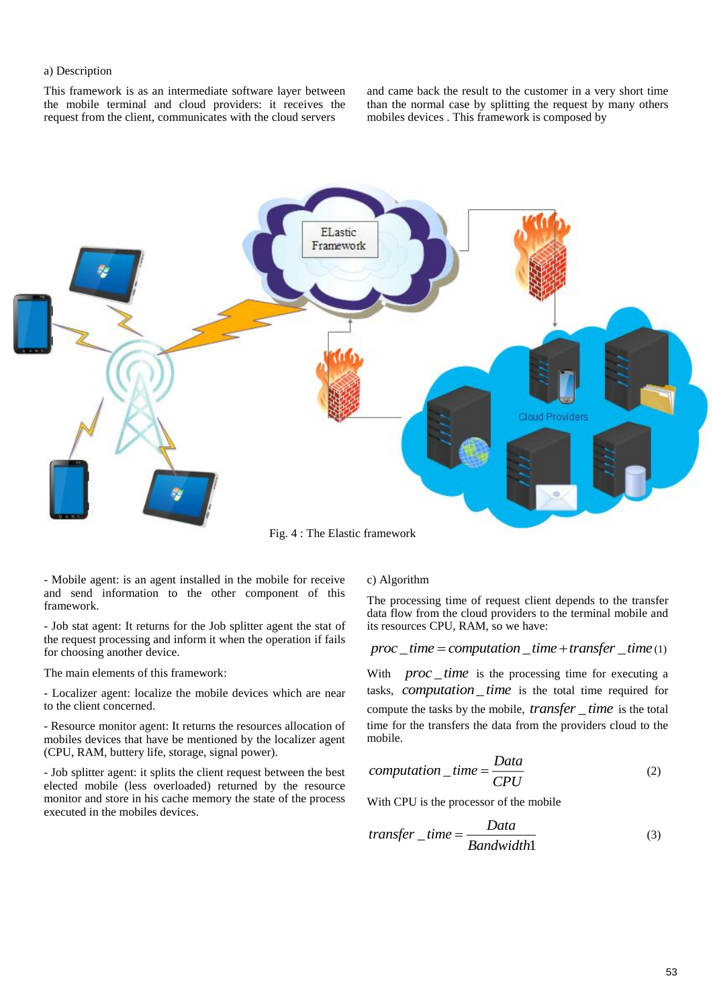# a) Description

This framework is as an intermediate software layer between the mobile terminal and cloud providers: it receives the request from the client, communicates with the cloud servers

and came back the result to the customer in a very short time than the normal case by splitting the request by many others mobiles devices . This framework is composed by



Fig. 4 : The Elastic framework

- Mobile agent: is an agent installed in the mobile for receive and send information to the other component of this framework.

- Job stat agent: It returns for the Job splitter agent the stat of the request processing and inform it when the operation if fails for choosing another device.

The main elements of this framework:

- Localizer agent: localize the mobile devices which are near to the client concerned.

- Resource monitor agent: It returns the resources allocation of mobiles devices that have be mentioned by the localizer agent (CPU, RAM, buttery life, storage, signal power).

- Job splitter agent: it splits the client request between the best elected mobile (less overloaded) returned by the resource monitor and store in his cache memory the state of the process executed in the mobiles devices.

## c) Algorithm

The processing time of request client depends to the transfer data flow from the cloud providers to the terminal mobile and its resources CPU, RAM, so we have:

 $proc\_time = computation\_time + transfer\_time(1)$ 

With *proc* \_ time is the processing time for executing a tasks, *computation\_time* is the total time required for compute the tasks by the mobile, *transfer* \_ *time* is the total time for the transfers the data from the providers cloud to the mobile.

$$
computation\_time = \frac{Data}{CPU}
$$
 (2)

With CPU is the processor of the mobile

$$
transfer\_time = \frac{Data}{Bandwidth1}
$$
 (3)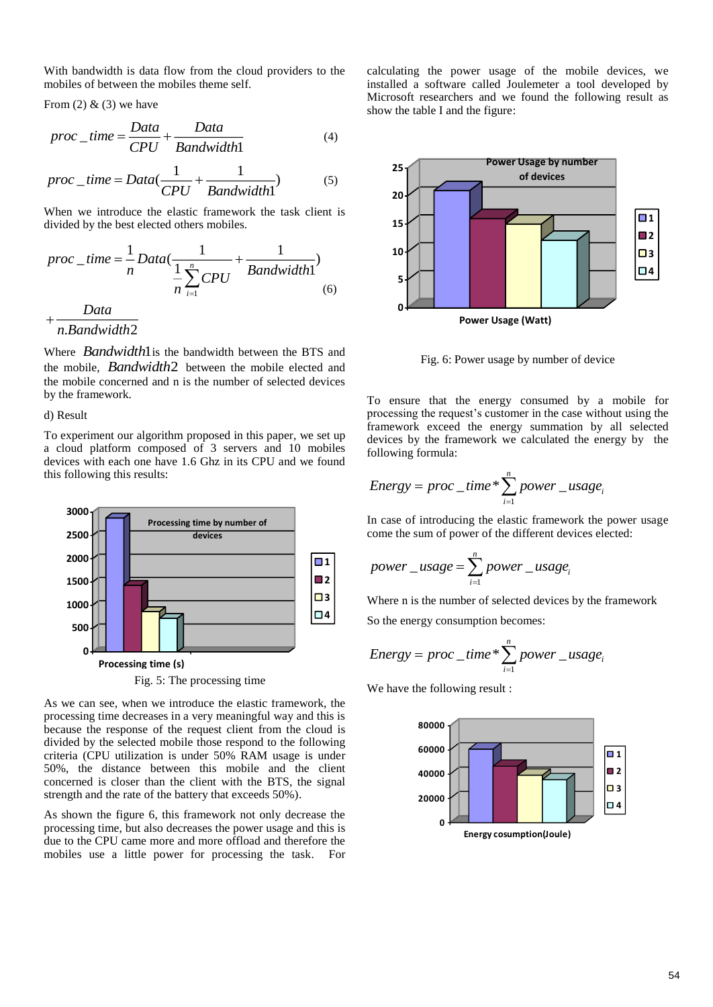With bandwidth is data flow from the cloud providers to the mobiles of between the mobiles theme self.

From  $(2)$  &  $(3)$  we have

$$
proc\_time = \frac{Data}{CPU} + \frac{Data}{Bandwidth1}
$$
(4)

$$
proc\_time = Data(\frac{1}{CPU} + \frac{1}{Bandwidth})
$$
 (5)

When we introduce the elastic framework the task client is divided by the best elected others mobiles.

$$
proc\_time = \frac{1}{n} Data(\frac{1}{\frac{1}{n} \sum_{i=1}^{n} CPU} + \frac{1}{Bandwidth})
$$

$$
+\frac{Data}{\frac{1}{n} \sum_{i=1}^{n} CPU} \tag{6}
$$

$$
n. Bandwidth2
$$

Where *Bandwidth*1 is the bandwidth between the BTS and the mobile, *Bandwidth*2 between the mobile elected and the mobile concerned and n is the number of selected devices by the framework.

d) Result

To experiment our algorithm proposed in this paper, we set up a cloud platform composed of 3 servers and 10 mobiles devices with each one have 1.6 Ghz in its CPU and we found this following this results:



Fig. 5: The processing time

As we can see, when we introduce the elastic framework, the processing time decreases in a very meaningful way and this is because the response of the request client from the cloud is divided by the selected mobile those respond to the following criteria (CPU utilization is under 50% RAM usage is under 50%, the distance between this mobile and the client concerned is closer than the client with the BTS, the signal strength and the rate of the battery that exceeds 50%).

As shown the figure 6, this framework not only decrease the processing time, but also decreases the power usage and this is due to the CPU came more and more offload and therefore the mobiles use a little power for processing the task. For calculating the power usage of the mobile devices, we installed a software called Joulemeter a tool developed by Microsoft researchers and we found the following result as show the table I and the figure:



Fig. 6: Power usage by number of device

To ensure that the energy consumed by a mobile for processing the request's customer in the case without using the framework exceed the energy summation by all selected devices by the framework we calculated the energy by the following formula:

$$
Energy = proc\_time * \sum_{i=1}^{n} power\_usage_i
$$

In case of introducing the elastic framework the power usage come the sum of power of the different devices elected:

$$
power\_usage = \sum_{i=1}^{n} power\_usage_i
$$

Where n is the number of selected devices by the framework

So the energy consumption becomes:

Energy = proc \_ time\* 
$$
\sum_{i=1}^{n} power\_usage_i
$$

We have the following result :